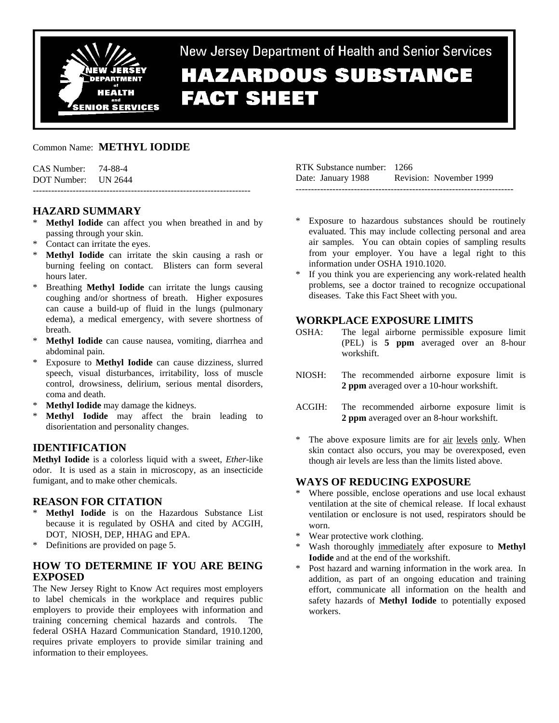

New Jersey Department of Health and Senior Services **HAZARDOUS SUBSTANCE FACT SHEET** 

### Common Name: **METHYL IODIDE**

| CAS Number: 74-88-4 |  |
|---------------------|--|
| DOT Number: UN 2644 |  |
|                     |  |

### **HAZARD SUMMARY**

- **Methyl Iodide** can affect you when breathed in and by passing through your skin.
- \* Contact can irritate the eyes.
- **Methyl Iodide** can irritate the skin causing a rash or burning feeling on contact. Blisters can form several hours later.
- Breathing **Methyl Iodide** can irritate the lungs causing coughing and/or shortness of breath. Higher exposures can cause a build-up of fluid in the lungs (pulmonary edema), a medical emergency, with severe shortness of breath.
- Methyl Iodide can cause nausea, vomiting, diarrhea and abdominal pain.
- \* Exposure to **Methyl Iodide** can cause dizziness, slurred speech, visual disturbances, irritability, loss of muscle control, drowsiness, delirium, serious mental disorders, coma and death.
- **Methyl Iodide** may damage the kidneys.
- \* **Methyl Iodide** may affect the brain leading to disorientation and personality changes.

#### **IDENTIFICATION**

**Methyl Iodide** is a colorless liquid with a sweet, *Ether*-like odor. It is used as a stain in microscopy, as an insecticide fumigant, and to make other chemicals.

#### **REASON FOR CITATION**

- \* **Methyl Iodide** is on the Hazardous Substance List because it is regulated by OSHA and cited by ACGIH, DOT, NIOSH, DEP, HHAG and EPA.
- \* Definitions are provided on page 5.

### **HOW TO DETERMINE IF YOU ARE BEING EXPOSED**

The New Jersey Right to Know Act requires most employers to label chemicals in the workplace and requires public employers to provide their employees with information and training concerning chemical hazards and controls. The federal OSHA Hazard Communication Standard, 1910.1200, requires private employers to provide similar training and information to their employees.

| RTK Substance number: 1266 |                         |
|----------------------------|-------------------------|
| Date: January 1988         | Revision: November 1999 |
|                            |                         |

- Exposure to hazardous substances should be routinely evaluated. This may include collecting personal and area air samples. You can obtain copies of sampling results from your employer. You have a legal right to this information under OSHA 1910.1020.
- If you think you are experiencing any work-related health problems, see a doctor trained to recognize occupational diseases. Take this Fact Sheet with you.

#### **WORKPLACE EXPOSURE LIMITS**

- OSHA: The legal airborne permissible exposure limit (PEL) is **5 ppm** averaged over an 8-hour workshift.
- NIOSH: The recommended airborne exposure limit is **2 ppm** averaged over a 10-hour workshift.
- ACGIH: The recommended airborne exposure limit is **2 ppm** averaged over an 8-hour workshift.
- \* The above exposure limits are for air levels only. When skin contact also occurs, you may be overexposed, even though air levels are less than the limits listed above.

### **WAYS OF REDUCING EXPOSURE**

- Where possible, enclose operations and use local exhaust ventilation at the site of chemical release. If local exhaust ventilation or enclosure is not used, respirators should be worn.
- \* Wear protective work clothing.
- Wash thoroughly immediately after exposure to **Methyl Iodide** and at the end of the workshift.
- Post hazard and warning information in the work area. In addition, as part of an ongoing education and training effort, communicate all information on the health and safety hazards of **Methyl Iodide** to potentially exposed workers.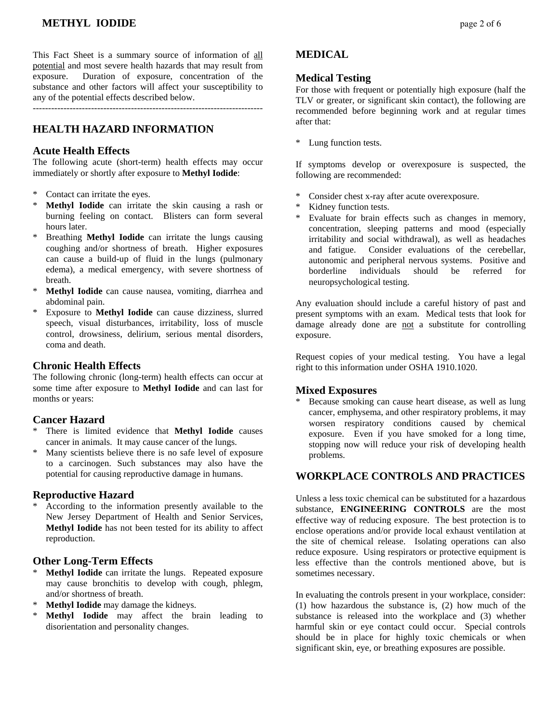# **METHYL IODIDE** page 2 of 6

This Fact Sheet is a summary source of information of all potential and most severe health hazards that may result from exposure. Duration of exposure, concentration of the substance and other factors will affect your susceptibility to any of the potential effects described below.

---------------------------------------------------------------------------

### **HEALTH HAZARD INFORMATION**

#### **Acute Health Effects**

The following acute (short-term) health effects may occur immediately or shortly after exposure to **Methyl Iodide**:

- Contact can irritate the eyes.
- \* **Methyl Iodide** can irritate the skin causing a rash or burning feeling on contact. Blisters can form several hours later.
- Breathing **Methyl Iodide** can irritate the lungs causing coughing and/or shortness of breath. Higher exposures can cause a build-up of fluid in the lungs (pulmonary edema), a medical emergency, with severe shortness of breath.
- \* **Methyl Iodide** can cause nausea, vomiting, diarrhea and abdominal pain.
- \* Exposure to **Methyl Iodide** can cause dizziness, slurred speech, visual disturbances, irritability, loss of muscle control, drowsiness, delirium, serious mental disorders, coma and death.

### **Chronic Health Effects**

The following chronic (long-term) health effects can occur at some time after exposure to **Methyl Iodide** and can last for months or years:

#### **Cancer Hazard**

- There is limited evidence that **Methyl Iodide** causes cancer in animals. It may cause cancer of the lungs.
- Many scientists believe there is no safe level of exposure to a carcinogen. Such substances may also have the potential for causing reproductive damage in humans.

#### **Reproductive Hazard**

According to the information presently available to the New Jersey Department of Health and Senior Services, **Methyl Iodide** has not been tested for its ability to affect reproduction.

#### **Other Long-Term Effects**

- **Methyl Iodide** can irritate the lungs. Repeated exposure may cause bronchitis to develop with cough, phlegm, and/or shortness of breath.
- \* **Methyl Iodide** may damage the kidneys.
- Methyl Iodide may affect the brain leading to disorientation and personality changes.

### **MEDICAL**

#### **Medical Testing**

For those with frequent or potentially high exposure (half the TLV or greater, or significant skin contact), the following are recommended before beginning work and at regular times after that:

\* Lung function tests.

If symptoms develop or overexposure is suspected, the following are recommended:

- Consider chest x-ray after acute overexposure.
- Kidney function tests.
- Evaluate for brain effects such as changes in memory, concentration, sleeping patterns and mood (especially irritability and social withdrawal), as well as headaches and fatigue. Consider evaluations of the cerebellar, autonomic and peripheral nervous systems. Positive and borderline individuals should be referred for neuropsychological testing.

Any evaluation should include a careful history of past and present symptoms with an exam. Medical tests that look for damage already done are not a substitute for controlling exposure.

Request copies of your medical testing. You have a legal right to this information under OSHA 1910.1020.

#### **Mixed Exposures**

Because smoking can cause heart disease, as well as lung cancer, emphysema, and other respiratory problems, it may worsen respiratory conditions caused by chemical exposure. Even if you have smoked for a long time, stopping now will reduce your risk of developing health problems.

### **WORKPLACE CONTROLS AND PRACTICES**

Unless a less toxic chemical can be substituted for a hazardous substance, **ENGINEERING CONTROLS** are the most effective way of reducing exposure. The best protection is to enclose operations and/or provide local exhaust ventilation at the site of chemical release. Isolating operations can also reduce exposure. Using respirators or protective equipment is less effective than the controls mentioned above, but is sometimes necessary.

In evaluating the controls present in your workplace, consider: (1) how hazardous the substance is, (2) how much of the substance is released into the workplace and (3) whether harmful skin or eye contact could occur. Special controls should be in place for highly toxic chemicals or when significant skin, eye, or breathing exposures are possible.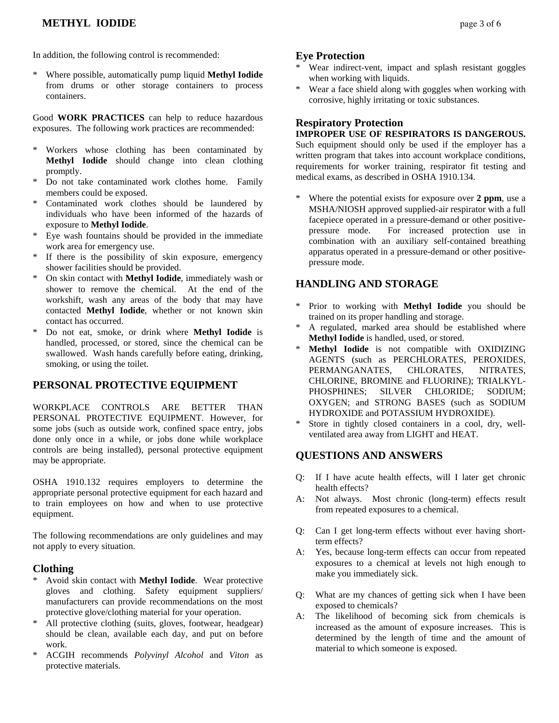\* Where possible, automatically pump liquid **Methyl Iodide** from drums or other storage containers to process containers.

Good **WORK PRACTICES** can help to reduce hazardous exposures. The following work practices are recommended:

- \* Workers whose clothing has been contaminated by **Methyl Iodide** should change into clean clothing promptly.
- Do not take contaminated work clothes home. Family members could be exposed.
- Contaminated work clothes should be laundered by individuals who have been informed of the hazards of exposure to **Methyl Iodide**.
- \* Eye wash fountains should be provided in the immediate work area for emergency use.
- \* If there is the possibility of skin exposure, emergency shower facilities should be provided.
- \* On skin contact with **Methyl Iodide**, immediately wash or shower to remove the chemical. At the end of the workshift, wash any areas of the body that may have contacted **Methyl Iodide**, whether or not known skin contact has occurred.
- \* Do not eat, smoke, or drink where **Methyl Iodide** is handled, processed, or stored, since the chemical can be swallowed. Wash hands carefully before eating, drinking, smoking, or using the toilet.

# **PERSONAL PROTECTIVE EQUIPMENT**

WORKPLACE CONTROLS ARE BETTER THAN PERSONAL PROTECTIVE EQUIPMENT. However, for some jobs (such as outside work, confined space entry, jobs done only once in a while, or jobs done while workplace controls are being installed), personal protective equipment may be appropriate.

OSHA 1910.132 requires employers to determine the appropriate personal protective equipment for each hazard and to train employees on how and when to use protective equipment.

The following recommendations are only guidelines and may not apply to every situation.

# **Clothing**

- \* Avoid skin contact with **Methyl Iodide**. Wear protective gloves and clothing. Safety equipment suppliers/ manufacturers can provide recommendations on the most protective glove/clothing material for your operation.
- \* All protective clothing (suits, gloves, footwear, headgear) should be clean, available each day, and put on before work.
- \* ACGIH recommends *Polyvinyl Alcohol* and *Viton* as protective materials.

## **Eye Protection**

- Wear indirect-vent, impact and splash resistant goggles when working with liquids.
- Wear a face shield along with goggles when working with corrosive, highly irritating or toxic substances.

# **Respiratory Protection**

### **IMPROPER USE OF RESPIRATORS IS DANGEROUS.**

Such equipment should only be used if the employer has a written program that takes into account workplace conditions, requirements for worker training, respirator fit testing and medical exams, as described in OSHA 1910.134.

Where the potential exists for exposure over 2 ppm, use a MSHA/NIOSH approved supplied-air respirator with a full facepiece operated in a pressure-demand or other positivepressure mode. For increased protection use in combination with an auxiliary self-contained breathing apparatus operated in a pressure-demand or other positivepressure mode.

# **HANDLING AND STORAGE**

- \* Prior to working with **Methyl Iodide** you should be trained on its proper handling and storage.
- A regulated, marked area should be established where **Methyl Iodide** is handled, used, or stored.
- **Methyl Iodide** is not compatible with OXIDIZING AGENTS (such as PERCHLORATES, PEROXIDES, PERMANGANATES, CHLORATES, NITRATES, CHLORINE, BROMINE and FLUORINE); TRIALKYL-PHOSPHINES; SILVER CHLORIDE; SODIUM; OXYGEN; and STRONG BASES (such as SODIUM HYDROXIDE and POTASSIUM HYDROXIDE).
- Store in tightly closed containers in a cool, dry, wellventilated area away from LIGHT and HEAT.

# **QUESTIONS AND ANSWERS**

- Q: If I have acute health effects, will I later get chronic health effects?
- A: Not always. Most chronic (long-term) effects result from repeated exposures to a chemical.
- Q: Can I get long-term effects without ever having shortterm effects?
- A: Yes, because long-term effects can occur from repeated exposures to a chemical at levels not high enough to make you immediately sick.
- Q: What are my chances of getting sick when I have been exposed to chemicals?
- A: The likelihood of becoming sick from chemicals is increased as the amount of exposure increases. This is determined by the length of time and the amount of material to which someone is exposed.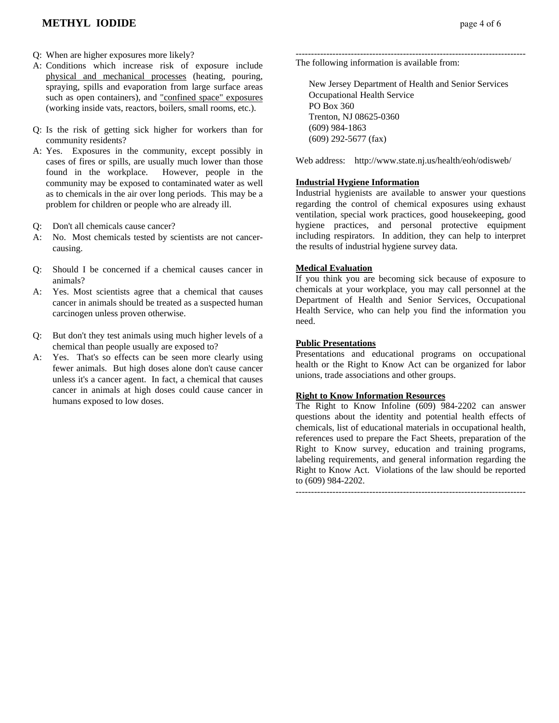- Q: When are higher exposures more likely?
- A: Conditions which increase risk of exposure include physical and mechanical processes (heating, pouring, spraying, spills and evaporation from large surface areas such as open containers), and "confined space" exposures (working inside vats, reactors, boilers, small rooms, etc.).
- Q: Is the risk of getting sick higher for workers than for community residents?
- A: Yes. Exposures in the community, except possibly in cases of fires or spills, are usually much lower than those found in the workplace. However, people in the community may be exposed to contaminated water as well as to chemicals in the air over long periods. This may be a problem for children or people who are already ill.
- Q: Don't all chemicals cause cancer?
- A: No. Most chemicals tested by scientists are not cancercausing.
- Q: Should I be concerned if a chemical causes cancer in animals?
- A: Yes. Most scientists agree that a chemical that causes cancer in animals should be treated as a suspected human carcinogen unless proven otherwise.
- Q: But don't they test animals using much higher levels of a chemical than people usually are exposed to?
- A: Yes. That's so effects can be seen more clearly using fewer animals. But high doses alone don't cause cancer unless it's a cancer agent. In fact, a chemical that causes cancer in animals at high doses could cause cancer in humans exposed to low doses.

--------------------------------------------------------------------------- The following information is available from:

 New Jersey Department of Health and Senior Services Occupational Health Service PO Box 360 Trenton, NJ 08625-0360 (609) 984-1863 (609) 292-5677 (fax)

Web address: http://www.state.nj.us/health/eoh/odisweb/

#### **Industrial Hygiene Information**

Industrial hygienists are available to answer your questions regarding the control of chemical exposures using exhaust ventilation, special work practices, good housekeeping, good hygiene practices, and personal protective equipment including respirators. In addition, they can help to interpret the results of industrial hygiene survey data.

#### **Medical Evaluation**

If you think you are becoming sick because of exposure to chemicals at your workplace, you may call personnel at the Department of Health and Senior Services, Occupational Health Service, who can help you find the information you need.

#### **Public Presentations**

Presentations and educational programs on occupational health or the Right to Know Act can be organized for labor unions, trade associations and other groups.

#### **Right to Know Information Resources**

The Right to Know Infoline (609) 984-2202 can answer questions about the identity and potential health effects of chemicals, list of educational materials in occupational health, references used to prepare the Fact Sheets, preparation of the Right to Know survey, education and training programs, labeling requirements, and general information regarding the Right to Know Act. Violations of the law should be reported to (609) 984-2202.

---------------------------------------------------------------------------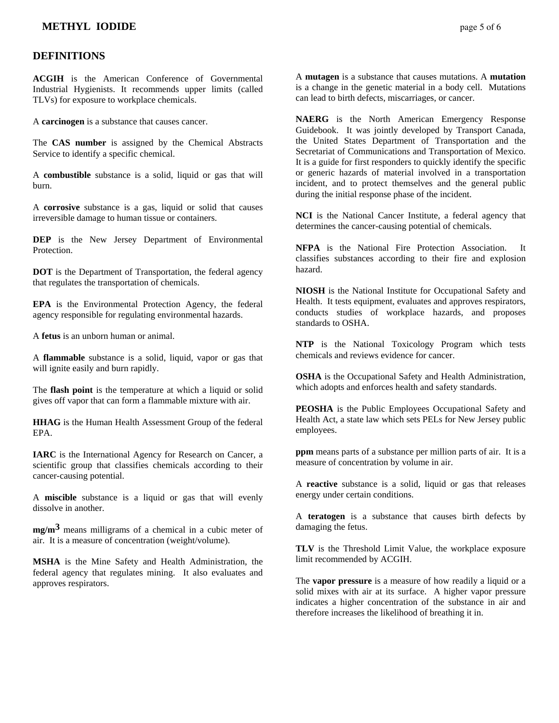### **DEFINITIONS**

**ACGIH** is the American Conference of Governmental Industrial Hygienists. It recommends upper limits (called TLVs) for exposure to workplace chemicals.

A **carcinogen** is a substance that causes cancer.

The **CAS number** is assigned by the Chemical Abstracts Service to identify a specific chemical.

A **combustible** substance is a solid, liquid or gas that will burn.

A **corrosive** substance is a gas, liquid or solid that causes irreversible damage to human tissue or containers.

**DEP** is the New Jersey Department of Environmental Protection.

**DOT** is the Department of Transportation, the federal agency that regulates the transportation of chemicals.

**EPA** is the Environmental Protection Agency, the federal agency responsible for regulating environmental hazards.

A **fetus** is an unborn human or animal.

A **flammable** substance is a solid, liquid, vapor or gas that will ignite easily and burn rapidly.

The **flash point** is the temperature at which a liquid or solid gives off vapor that can form a flammable mixture with air.

**HHAG** is the Human Health Assessment Group of the federal EPA.

**IARC** is the International Agency for Research on Cancer, a scientific group that classifies chemicals according to their cancer-causing potential.

A **miscible** substance is a liquid or gas that will evenly dissolve in another.

**mg/m3** means milligrams of a chemical in a cubic meter of air. It is a measure of concentration (weight/volume).

**MSHA** is the Mine Safety and Health Administration, the federal agency that regulates mining. It also evaluates and approves respirators.

A **mutagen** is a substance that causes mutations. A **mutation** is a change in the genetic material in a body cell. Mutations can lead to birth defects, miscarriages, or cancer.

**NAERG** is the North American Emergency Response Guidebook. It was jointly developed by Transport Canada, the United States Department of Transportation and the Secretariat of Communications and Transportation of Mexico. It is a guide for first responders to quickly identify the specific or generic hazards of material involved in a transportation incident, and to protect themselves and the general public during the initial response phase of the incident.

**NCI** is the National Cancer Institute, a federal agency that determines the cancer-causing potential of chemicals.

**NFPA** is the National Fire Protection Association. It classifies substances according to their fire and explosion hazard.

**NIOSH** is the National Institute for Occupational Safety and Health. It tests equipment, evaluates and approves respirators, conducts studies of workplace hazards, and proposes standards to OSHA.

**NTP** is the National Toxicology Program which tests chemicals and reviews evidence for cancer.

**OSHA** is the Occupational Safety and Health Administration, which adopts and enforces health and safety standards.

**PEOSHA** is the Public Employees Occupational Safety and Health Act, a state law which sets PELs for New Jersey public employees.

**ppm** means parts of a substance per million parts of air. It is a measure of concentration by volume in air.

A **reactive** substance is a solid, liquid or gas that releases energy under certain conditions.

A **teratogen** is a substance that causes birth defects by damaging the fetus.

**TLV** is the Threshold Limit Value, the workplace exposure limit recommended by ACGIH.

The **vapor pressure** is a measure of how readily a liquid or a solid mixes with air at its surface. A higher vapor pressure indicates a higher concentration of the substance in air and therefore increases the likelihood of breathing it in.